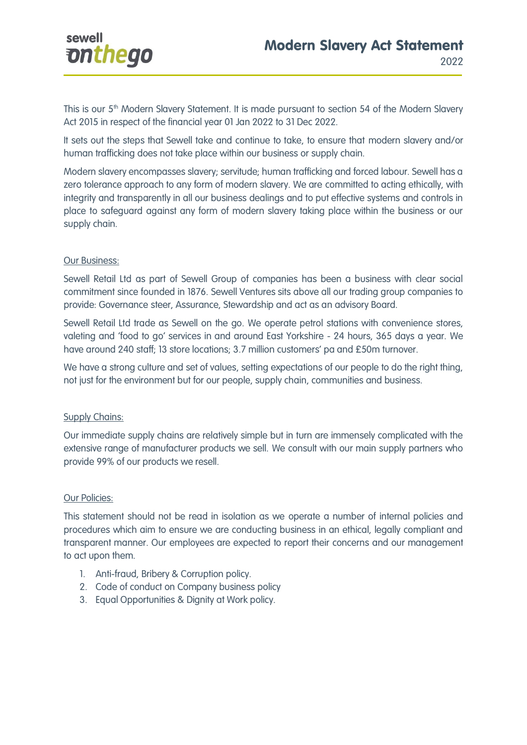

This is our 5<sup>th</sup> Modern Slavery Statement. It is made pursuant to section 54 of the Modern Slavery Act 2015 in respect of the financial year 01 Jan 2022 to 31 Dec 2022.

It sets out the steps that Sewell take and continue to take, to ensure that modern slavery and/or human trafficking does not take place within our business or supply chain.

Modern slavery encompasses slavery; servitude; human trafficking and forced labour. Sewell has a zero tolerance approach to any form of modern slavery. We are committed to acting ethically, with integrity and transparently in all our business dealings and to put effective systems and controls in place to safeguard against any form of modern slavery taking place within the business or our supply chain.

### Our Business:

Sewell Retail Ltd as part of Sewell Group of companies has been a business with clear social commitment since founded in 1876. Sewell Ventures sits above all our trading group companies to provide: Governance steer, Assurance, Stewardship and act as an advisory Board.

Sewell Retail Ltd trade as Sewell on the go. We operate petrol stations with convenience stores, valeting and 'food to go' services in and around East Yorkshire - 24 hours, 365 days a year. We have around 240 staff; 13 store locations; 3.7 million customers' pa and £50m turnover.

We have a strong culture and set of values, setting expectations of our people to do the right thing, not just for the environment but for our people, supply chain, communities and business.

### **Supply Chains:**

Our immediate supply chains are relatively simple but in turn are immensely complicated with the extensive range of manufacturer products we sell. We consult with our main supply partners who provide 99% of our products we resell.

### Our Policies:

This statement should not be read in isolation as we operate a number of internal policies and procedures which aim to ensure we are conducting business in an ethical, legally compliant and transparent manner. Our employees are expected to report their concerns and our management to act upon them.

- 1. Anti-fraud, Bribery & Corruption policy.
- 2. Code of conduct on Company business policy
- 3. Equal Opportunities & Dignity at Work policy.